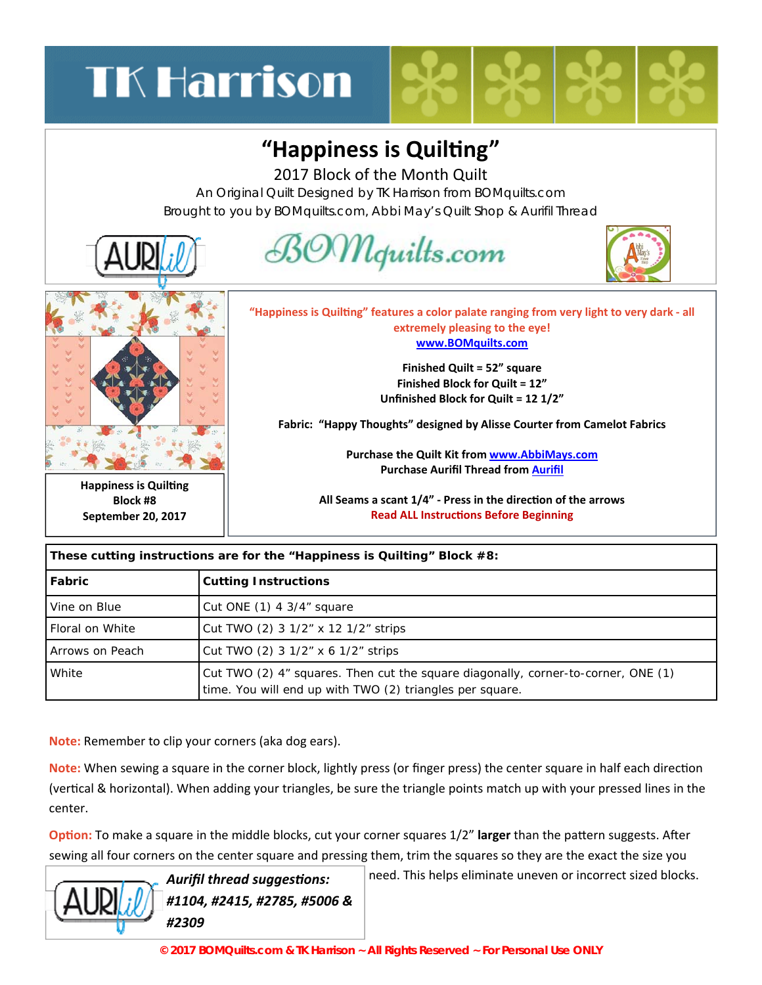## **TK Harrison**

## **"Happiness is QuilƟng"**

2017 Block of the Month Quilt

An Original Quilt Designed by TK Harrison from BOMquilts.com Brought to you by BOMquilts.com, Abbi May's Quilt Shop & Aurifil Thread



| These cutting instructions are for the "Happiness is Quilting" Block #8: |                                                                                                                                               |
|--------------------------------------------------------------------------|-----------------------------------------------------------------------------------------------------------------------------------------------|
| Fabric                                                                   | <b>Cutting Instructions</b>                                                                                                                   |
| Vine on Blue                                                             | Cut ONE $(1)$ 4 3/4" square                                                                                                                   |
| Floral on White                                                          | Cut TWO (2) 3 1/2" x 12 1/2" strips                                                                                                           |
| Arrows on Peach                                                          | Cut TWO (2) 3 1/2" x 6 1/2" strips                                                                                                            |
| White                                                                    | Cut TWO (2) 4" squares. Then cut the square diagonally, corner-to-corner, ONE (1)<br>time. You will end up with TWO (2) triangles per square. |

**Note:** Remember to clip your corners (aka dog ears).

**Note:** When sewing a square in the corner block, lightly press (or finger press) the center square in half each direction (vertical & horizontal). When adding your triangles, be sure the triangle points match up with your pressed lines in the center.

**Option:** To make a square in the middle blocks, cut your corner squares 1/2" larger than the pattern suggests. After sewing all four corners on the center square and pressing them, trim the squares so they are the exact the size you



Aurifil thread suggestions: **Aurifil thread suggestions:**  $\vert$  need. This helps eliminate uneven or incorrect sized blocks.